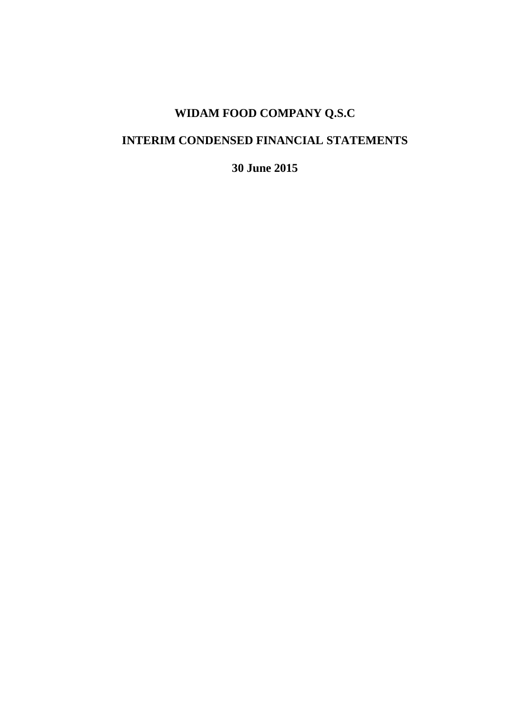## **WIDAM FOOD COMPANY Q.S.C**

## **INTERIM CONDENSED FINANCIAL STATEMENTS**

**30 June 2015**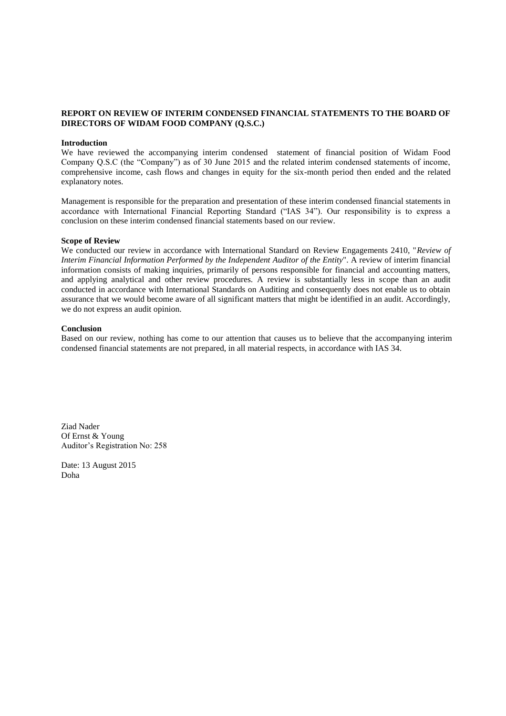#### **REPORT ON REVIEW OF INTERIM CONDENSED FINANCIAL STATEMENTS TO THE BOARD OF DIRECTORS OF WIDAM FOOD COMPANY (Q.S.C.)**

#### **Introduction**

We have reviewed the accompanying interim condensed statement of financial position of Widam Food Company Q.S.C (the "Company") as of 30 June 2015 and the related interim condensed statements of income, comprehensive income, cash flows and changes in equity for the six-month period then ended and the related explanatory notes.

Management is responsible for the preparation and presentation of these interim condensed financial statements in accordance with International Financial Reporting Standard ("IAS 34"). Our responsibility is to express a conclusion on these interim condensed financial statements based on our review.

#### **Scope of Review**

We conducted our review in accordance with International Standard on Review Engagements 2410, "*Review of Interim Financial Information Performed by the Independent Auditor of the Entity*". A review of interim financial information consists of making inquiries, primarily of persons responsible for financial and accounting matters, and applying analytical and other review procedures. A review is substantially less in scope than an audit conducted in accordance with International Standards on Auditing and consequently does not enable us to obtain assurance that we would become aware of all significant matters that might be identified in an audit. Accordingly, we do not express an audit opinion.

#### **Conclusion**

Based on our review, nothing has come to our attention that causes us to believe that the accompanying interim condensed financial statements are not prepared, in all material respects, in accordance with IAS 34.

Ziad Nader Of Ernst & Young Auditor's Registration No: 258

Date: 13 August 2015 Doha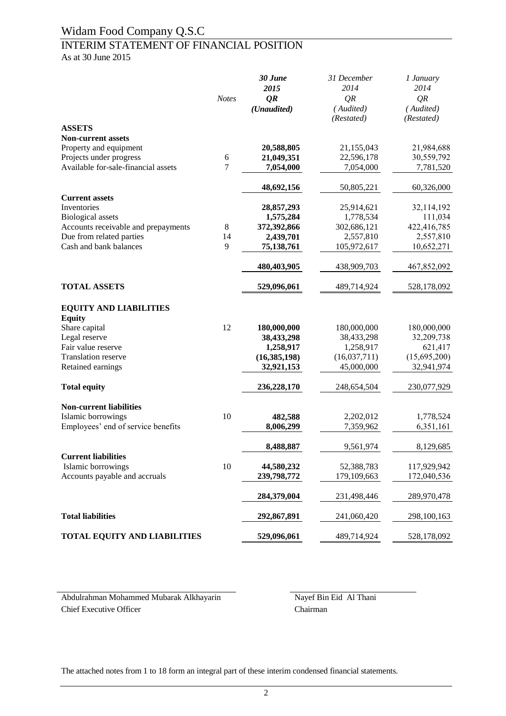#### INTERIM STATEMENT OF FINANCIAL POSITION As at 30 June 2015

*30 June 2015 31 December 2014 1 January 2014 Notes QR QR QR (Unaudited) ( Audited) ( Audited) (Restated) (Restated)* **ASSETS Non-current assets** Property and equipment **20,588,805** 21,155,043 21,984,688<br>Projects under progress 6 21,049,351 22,596,178 30,559,792 Projects under progress 6 **21,049,351**<br>Available for-sale-financial assets 7 7.054,000 Available for-sale-financial assets **7 7,054,000 7**,054,000 **7,781,520 48,692,156** 50,805,221 60,326,000 **Current assets** Inventories **28,857,293** 25,914,621 32,114,192 Biological assets **1,575,284** 1,778,534 111,034 Accounts receivable and prepayments  $\qquad 8 \qquad 372,392,866 \qquad 302,686,121 \qquad 422,416,785$ Due from related parties 14 **2,439,701** 2,557,810 2,557,810<br>Cash and bank balances 9 75,138,761 105,972,617 10,652,271 Cash and bank balances **9 75,138,761** 105,972,617 10,652,271 **480,403,905** 438,909,703 467,852,092 **TOTAL ASSETS 529,096,061** 489,714,924 528,178,092 **EQUITY AND LIABILITIES Equity**  Share capital 12 **180,000,000** 180,000,000 180,000,000 Legal reserve **38,433,298** 38,433,298 32,209,738 Fair value reserve **1,258,917** 1,258,917 621,417 Translation reserve **(16,385,198)** (16,037,711) (15,695,200) Retained earnings **32,921,153** 45,000,000 32,941,974 **Total equity 236,228,170** 248,654,504 230,077,929 **Non-current liabilities** Islamic borrowings 10 **482,588** 2,202,012 1,778,524 Employees' end of service benefits **8,006,299** 7,359,962 6,351,161 **8,488,887** 9,561,974 8,129,685 **Current liabilities** Islamic borrowings 10 **44,580,232** 52,388,783 117,929,942 Accounts payable and accruals **239,798,772** 179,109,663 172,040,536 **284,379,004** 231,498,446 289,970,478 **Total liabilities 292,867,891** 241,060,420 298,100,163 **TOTAL EQUITY AND LIABILITIES 529,096,061** 489,714,924 528,178,092

Abdulrahman Mohammed Mubarak Alkhayarin Nayef Bin Eid Al Thani Chief Executive Officer Chairman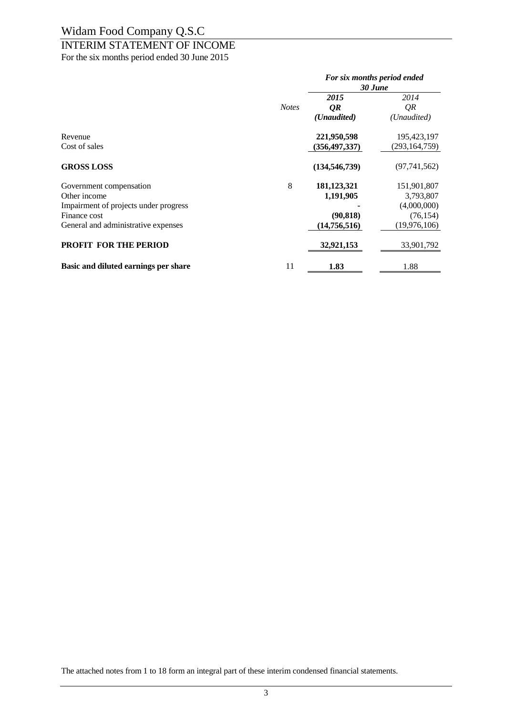## INTERIM STATEMENT OF INCOME

For the six months period ended 30 June 2015

|                                       |              | For six months period ended<br>30 June |                 |
|---------------------------------------|--------------|----------------------------------------|-----------------|
|                                       |              | 2015                                   | 2014            |
|                                       | <b>Notes</b> | QR                                     | QR              |
|                                       |              | ( <i>Unaudited</i> )                   | (Unaudited)     |
| Revenue                               |              | 221,950,598                            | 195,423,197     |
| Cost of sales                         |              | (356, 497, 337)                        | (293, 164, 759) |
| <b>GROSS LOSS</b>                     |              | (134, 546, 739)                        | (97, 741, 562)  |
| Government compensation               | 8            | 181,123,321                            | 151,901,807     |
| Other income                          |              | 1,191,905                              | 3,793,807       |
| Impairment of projects under progress |              |                                        | (4,000,000)     |
| Finance cost                          |              | (90, 818)                              | (76, 154)       |
| General and administrative expenses   |              | (14,756,516)                           | (19, 976, 106)  |
| <b>PROFIT FOR THE PERIOD</b>          |              | 32,921,153                             | 33,901,792      |
| Basic and diluted earnings per share  | 11           | 1.83                                   | 1.88            |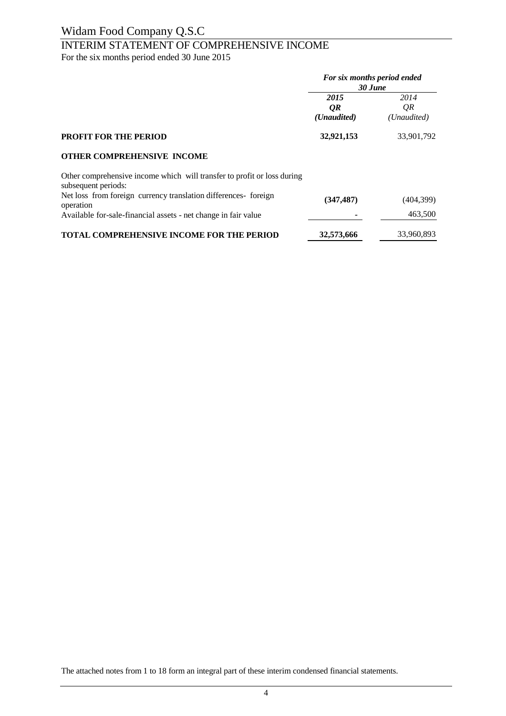# INTERIM STATEMENT OF COMPREHENSIVE INCOME

For the six months period ended 30 June 2015

|                                                                                                | For six months period ended<br>30 June |                           |
|------------------------------------------------------------------------------------------------|----------------------------------------|---------------------------|
|                                                                                                | 2015<br>QR<br>( <i>Unaudited</i> )     | 2014<br>OR<br>(Unaudited) |
| <b>PROFIT FOR THE PERIOD</b>                                                                   | 32,921,153                             | 33,901,792                |
| <b>OTHER COMPREHENSIVE INCOME</b>                                                              |                                        |                           |
| Other comprehensive income which will transfer to profit or loss during<br>subsequent periods: |                                        |                           |
| Net loss from foreign currency translation differences-foreign<br>operation                    | (347, 487)                             | (404, 399)                |
| Available for-sale-financial assets - net change in fair value                                 |                                        | 463,500                   |
| <b>TOTAL COMPREHENSIVE INCOME FOR THE PERIOD</b>                                               | 32,573,666                             | 33,960,893                |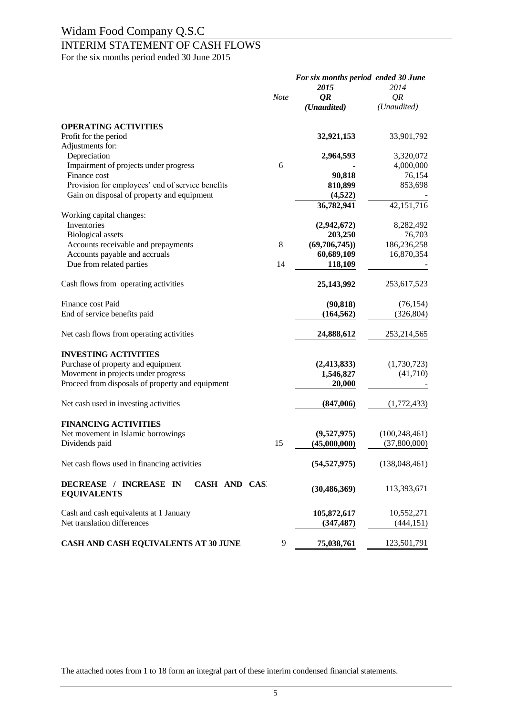## INTERIM STATEMENT OF CASH FLOWS

For the six months period ended 30 June 2015

|                                                              | <b>Note</b> | For six months period ended 30 June<br>2015<br>QR<br>(Unaudited) | 2014<br>QR<br>(Unaudited) |
|--------------------------------------------------------------|-------------|------------------------------------------------------------------|---------------------------|
| <b>OPERATING ACTIVITIES</b>                                  |             |                                                                  |                           |
| Profit for the period                                        |             | 32,921,153                                                       | 33,901,792                |
| Adjustments for:                                             |             |                                                                  |                           |
| Depreciation                                                 |             | 2,964,593                                                        | 3,320,072                 |
| Impairment of projects under progress<br>Finance cost        | 6           | 90,818                                                           | 4,000,000<br>76,154       |
| Provision for employees' end of service benefits             |             | 810,899                                                          | 853,698                   |
| Gain on disposal of property and equipment                   |             | (4,522)                                                          |                           |
|                                                              |             | 36,782,941                                                       | 42,151,716                |
| Working capital changes:                                     |             |                                                                  |                           |
| Inventories                                                  |             | (2,942,672)                                                      | 8,282,492                 |
| <b>Biological</b> assets                                     |             | 203,250                                                          | 76,703                    |
| Accounts receivable and prepayments                          | 8           | (69,706,745)                                                     | 186,236,258               |
| Accounts payable and accruals                                |             | 60,689,109                                                       | 16,870,354                |
| Due from related parties                                     | 14          | 118,109                                                          |                           |
| Cash flows from operating activities                         |             | 25,143,992                                                       | 253,617,523               |
| Finance cost Paid                                            |             | (90, 818)                                                        | (76, 154)                 |
| End of service benefits paid                                 |             | (164, 562)                                                       | (326, 804)                |
|                                                              |             |                                                                  |                           |
| Net cash flows from operating activities                     |             | 24,888,612                                                       | 253, 214, 565             |
| <b>INVESTING ACTIVITIES</b>                                  |             |                                                                  |                           |
| Purchase of property and equipment                           |             | (2, 413, 833)                                                    | (1,730,723)               |
| Movement in projects under progress                          |             | 1,546,827                                                        | (41,710)                  |
| Proceed from disposals of property and equipment             |             | 20,000                                                           |                           |
|                                                              |             |                                                                  |                           |
| Net cash used in investing activities                        |             | (847,006)                                                        | (1,772,433)               |
| <b>FINANCING ACTIVITIES</b>                                  |             |                                                                  |                           |
| Net movement in Islamic borrowings                           |             | (9,527,975)                                                      | (100, 248, 461)           |
| Dividends paid                                               | 15          | (45,000,000)                                                     | (37,800,000)              |
|                                                              |             |                                                                  |                           |
| Net cash flows used in financing activities                  |             | (54, 527, 975)                                                   | (138, 048, 461)           |
| CASH AND CAS<br>DECREASE / INCREASE IN<br><b>EQUIVALENTS</b> |             | (30, 486, 369)                                                   | 113,393,671               |
| Cash and cash equivalents at 1 January                       |             | 105,872,617                                                      | 10,552,271                |
| Net translation differences                                  |             | (347, 487)                                                       | (444, 151)                |
| CASH AND CASH EQUIVALENTS AT 30 JUNE                         | 9           | 75,038,761                                                       | 123,501,791               |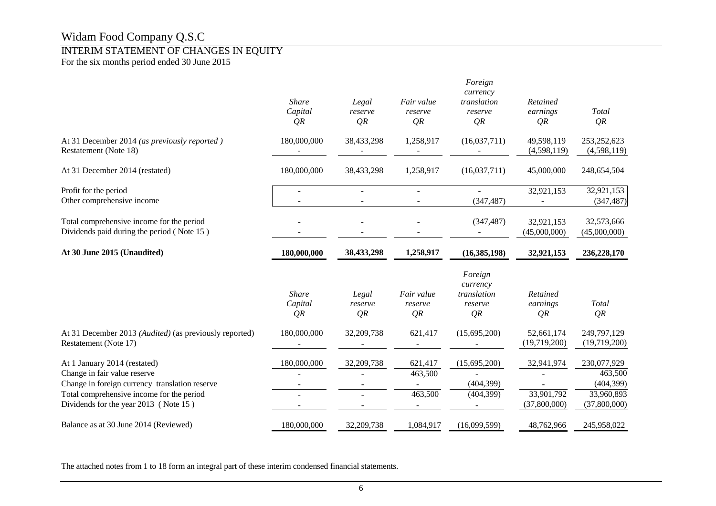### INTERIM STATEMENT OF CHANGES IN EQUITY

For the six months period ended 30 June 2015

|                                                                                                                                                                                                      | <b>Share</b><br>Capital<br>QR | Legal<br>reserve<br>QR                 | Fair value<br>reserve<br>QR   | Foreign<br>currency<br>translation<br>reserve<br>QR | Retained<br>earnings<br>QR               | Total<br>QR                                                        |
|------------------------------------------------------------------------------------------------------------------------------------------------------------------------------------------------------|-------------------------------|----------------------------------------|-------------------------------|-----------------------------------------------------|------------------------------------------|--------------------------------------------------------------------|
| At 31 December 2014 (as previously reported)<br>Restatement (Note 18)                                                                                                                                | 180,000,000                   | 38,433,298                             | 1,258,917                     | (16,037,711)                                        | 49,598,119<br>(4,598,119)                | 253, 252, 623<br>(4,598,119)                                       |
| At 31 December 2014 (restated)                                                                                                                                                                       | 180,000,000                   | 38,433,298                             | 1,258,917                     | (16,037,711)                                        | 45,000,000                               | 248,654,504                                                        |
| Profit for the period<br>Other comprehensive income                                                                                                                                                  |                               |                                        | ÷.                            | (347, 487)                                          | 32,921,153                               | 32,921,153<br>(347, 487)                                           |
| Total comprehensive income for the period<br>Dividends paid during the period (Note 15)                                                                                                              |                               |                                        |                               | (347, 487)                                          | 32,921,153<br>(45,000,000)               | 32,573,666<br>(45,000,000)                                         |
| At 30 June 2015 (Unaudited)                                                                                                                                                                          | 180,000,000                   | 38,433,298                             | 1,258,917                     | (16, 385, 198)                                      | 32,921,153                               | 236,228,170                                                        |
|                                                                                                                                                                                                      | <b>Share</b><br>Capital<br>QR | Legal<br>reserve<br>QR                 | Fair value<br>reserve<br>QR   | Foreign<br>currency<br>translation<br>reserve<br>QR | Retained<br>earnings<br>QR               | Total<br>QR                                                        |
| At 31 December 2013 (Audited) (as previously reported)<br>Restatement (Note 17)                                                                                                                      | 180,000,000                   | 32,209,738                             | 621,417                       | (15,695,200)                                        | 52,661,174<br>(19,719,200)               | 249,797,129<br>(19,719,200)                                        |
| At 1 January 2014 (restated)<br>Change in fair value reserve<br>Change in foreign currency translation reserve<br>Total comprehensive income for the period<br>Dividends for the year 2013 (Note 15) | 180,000,000                   | 32,209,738<br>$\overline{\phantom{a}}$ | 621,417<br>463,500<br>463,500 | (15,695,200)<br>(404, 399)<br>(404, 399)            | 32,941,974<br>33,901,792<br>(37,800,000) | 230,077,929<br>463,500<br>(404, 399)<br>33,960,893<br>(37,800,000) |
|                                                                                                                                                                                                      |                               |                                        |                               |                                                     |                                          |                                                                    |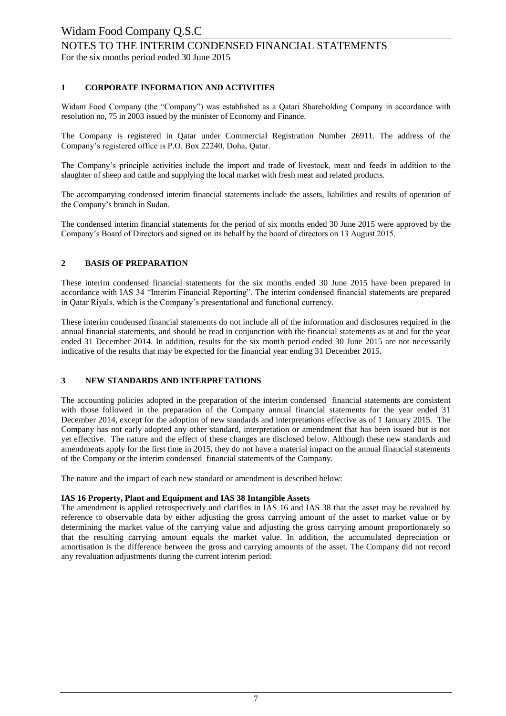# NOTES TO THE INTERIM CONDENSED FINANCIAL STATEMENTS

For the six months period ended 30 June 2015

#### **1 CORPORATE INFORMATION AND ACTIVITIES**

Widam Food Company (the "Company") was established as a Qatari Shareholding Company in accordance with resolution no, 75 in 2003 issued by the minister of Economy and Finance.

The Company is registered in Qatar under Commercial Registration Number 26911. The address of the Company's registered office is P.O. Box 22240, Doha, Qatar.

The Company's principle activities include the import and trade of livestock, meat and feeds in addition to the slaughter of sheep and cattle and supplying the local market with fresh meat and related products.

The accompanying condensed interim financial statements include the assets, liabilities and results of operation of the Company's branch in Sudan.

The condensed interim financial statements for the period of six months ended 30 June 2015 were approved by the Company's Board of Directors and signed on its behalf by the board of directors on 13 August 2015.

#### **2 BASIS OF PREPARATION**

These interim condensed financial statements for the six months ended 30 June 2015 have been prepared in accordance with IAS 34 "Interim Financial Reporting". The interim condensed financial statements are prepared in Qatar Riyals, which is the Company's presentational and functional currency.

These interim condensed financial statements do not include all of the information and disclosures required in the annual financial statements, and should be read in conjunction with the financial statements as at and for the year ended 31 December 2014. In addition, results for the six month period ended 30 June 2015 are not necessarily indicative of the results that may be expected for the financial year ending 31 December 2015.

#### **3 NEW STANDARDS AND INTERPRETATIONS**

The accounting policies adopted in the preparation of the interim condensed financial statements are consistent with those followed in the preparation of the Company annual financial statements for the year ended 31 December 2014, except for the adoption of new standards and interpretations effective as of 1 January 2015. The Company has not early adopted any other standard, interpretation or amendment that has been issued but is not yet effective. The nature and the effect of these changes are disclosed below. Although these new standards and amendments apply for the first time in 2015, they do not have a material impact on the annual financial statements of the Company or the interim condensed financial statements of the Company.

The nature and the impact of each new standard or amendment is described below:

#### **IAS 16 Property, Plant and Equipment and IAS 38 Intangible Assets**

The amendment is applied retrospectively and clarifies in IAS 16 and IAS 38 that the asset may be revalued by reference to observable data by either adjusting the gross carrying amount of the asset to market value or by determining the market value of the carrying value and adjusting the gross carrying amount proportionately so that the resulting carrying amount equals the market value. In addition, the accumulated depreciation or amortisation is the difference between the gross and carrying amounts of the asset. The Company did not record any revaluation adjustments during the current interim period.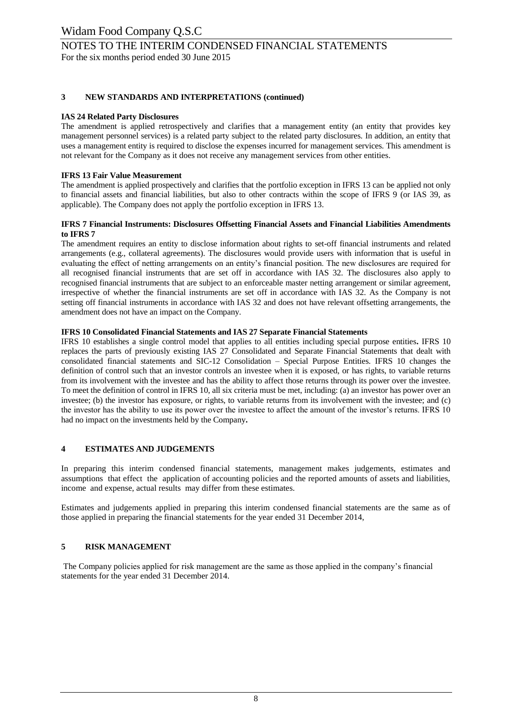## NOTES TO THE INTERIM CONDENSED FINANCIAL STATEMENTS

For the six months period ended 30 June 2015

#### **3 NEW STANDARDS AND INTERPRETATIONS (continued)**

#### **IAS 24 Related Party Disclosures**

The amendment is applied retrospectively and clarifies that a management entity (an entity that provides key management personnel services) is a related party subject to the related party disclosures. In addition, an entity that uses a management entity is required to disclose the expenses incurred for management services. This amendment is not relevant for the Company as it does not receive any management services from other entities.

#### **IFRS 13 Fair Value Measurement**

The amendment is applied prospectively and clarifies that the portfolio exception in IFRS 13 can be applied not only to financial assets and financial liabilities, but also to other contracts within the scope of IFRS 9 (or IAS 39, as applicable). The Company does not apply the portfolio exception in IFRS 13.

#### **IFRS 7 Financial Instruments: Disclosures Offsetting Financial Assets and Financial Liabilities Amendments to IFRS 7**

The amendment requires an entity to disclose information about rights to set-off financial instruments and related arrangements (e.g., collateral agreements). The disclosures would provide users with information that is useful in evaluating the effect of netting arrangements on an entity's financial position. The new disclosures are required for all recognised financial instruments that are set off in accordance with IAS 32. The disclosures also apply to recognised financial instruments that are subject to an enforceable master netting arrangement or similar agreement, irrespective of whether the financial instruments are set off in accordance with IAS 32. As the Company is not setting off financial instruments in accordance with IAS 32 and does not have relevant offsetting arrangements, the amendment does not have an impact on the Company.

#### **IFRS 10 Consolidated Financial Statements and IAS 27 Separate Financial Statements**

IFRS 10 establishes a single control model that applies to all entities including special purpose entities**.** IFRS 10 replaces the parts of previously existing IAS 27 Consolidated and Separate Financial Statements that dealt with consolidated financial statements and SIC-12 Consolidation – Special Purpose Entities. IFRS 10 changes the definition of control such that an investor controls an investee when it is exposed, or has rights, to variable returns from its involvement with the investee and has the ability to affect those returns through its power over the investee. To meet the definition of control in IFRS 10, all six criteria must be met, including: (a) an investor has power over an investee; (b) the investor has exposure, or rights, to variable returns from its involvement with the investee; and (c) the investor has the ability to use its power over the investee to affect the amount of the investor's returns. IFRS 10 had no impact on the investments held by the Company**.**

#### **4 ESTIMATES AND JUDGEMENTS**

In preparing this interim condensed financial statements, management makes judgements, estimates and assumptions that effect the application of accounting policies and the reported amounts of assets and liabilities, income and expense, actual results may differ from these estimates.

Estimates and judgements applied in preparing this interim condensed financial statements are the same as of those applied in preparing the financial statements for the year ended 31 December 2014,

#### **5 RISK MANAGEMENT**

The Company policies applied for risk management are the same as those applied in the company's financial statements for the year ended 31 December 2014.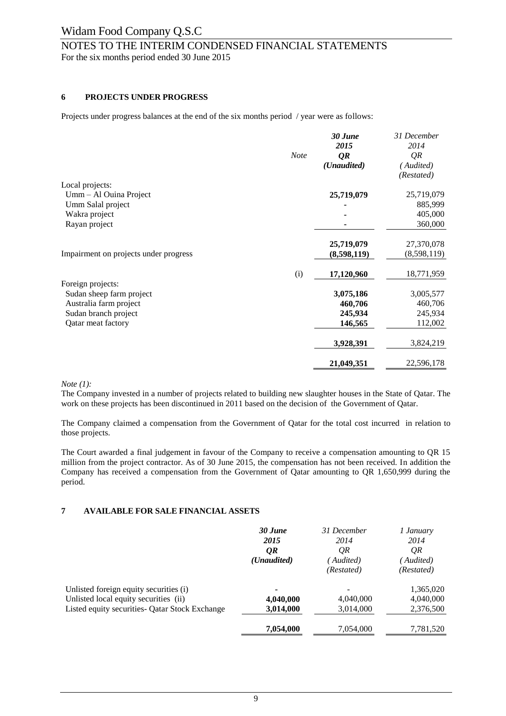## NOTES TO THE INTERIM CONDENSED FINANCIAL STATEMENTS

For the six months period ended 30 June 2015

#### **6 PROJECTS UNDER PROGRESS**

Projects under progress balances at the end of the six months period / year were as follows:

|                                               | <b>Note</b> | 30 June<br>2015<br>QR<br>(Unaudited) | 31 December<br>2014<br>QR<br>Audited)<br>(Restated) |
|-----------------------------------------------|-------------|--------------------------------------|-----------------------------------------------------|
| Local projects:                               |             |                                      |                                                     |
| Umm - Al Ouina Project                        |             | 25,719,079                           | 25,719,079                                          |
| Umm Salal project                             |             |                                      | 885,999                                             |
| Wakra project                                 |             |                                      | 405,000                                             |
| Rayan project                                 |             |                                      | 360,000                                             |
|                                               |             | 25,719,079                           | 27,370,078                                          |
| Impairment on projects under progress         |             | (8,598,119)                          | (8,598,119)                                         |
|                                               | (i)         | 17,120,960                           | 18,771,959                                          |
| Foreign projects:<br>Sudan sheep farm project |             | 3,075,186                            | 3,005,577                                           |
| Australia farm project                        |             | 460,706                              | 460,706                                             |
| Sudan branch project                          |             | 245,934                              | 245,934                                             |
| Qatar meat factory                            |             | 146,565                              | 112,002                                             |
|                                               |             | 3,928,391                            | 3,824,219                                           |
|                                               |             | 21,049,351                           | 22,596,178                                          |

#### *Note (1):*

The Company invested in a number of projects related to building new slaughter houses in the State of Qatar. The work on these projects has been discontinued in 2011 based on the decision of the Government of Qatar.

The Company claimed a compensation from the Government of Qatar for the total cost incurred in relation to those projects.

The Court awarded a final judgement in favour of the Company to receive a compensation amounting to QR 15 million from the project contractor. As of 30 June 2015, the compensation has not been received. In addition the Company has received a compensation from the Government of Qatar amounting to QR 1,650,999 during the period.

#### **7 AVAILABLE FOR SALE FINANCIAL ASSETS**

|                                                | 30 June              | 31 December | 1 January  |
|------------------------------------------------|----------------------|-------------|------------|
|                                                | 2015                 | 2014        | 2014       |
|                                                | QR                   | QR          | QR         |
|                                                | ( <i>Unaudited</i> ) | Audited)    | Audited)   |
|                                                |                      | (Restated)  | (Restated) |
| Unlisted foreign equity securities (i)         | ۰                    | -           | 1,365,020  |
| Unlisted local equity securities (ii)          | 4,040,000            | 4,040,000   | 4,040,000  |
| Listed equity securities- Qatar Stock Exchange | 3,014,000            | 3,014,000   | 2,376,500  |
|                                                | 7,054,000            | 7,054,000   | 7,781,520  |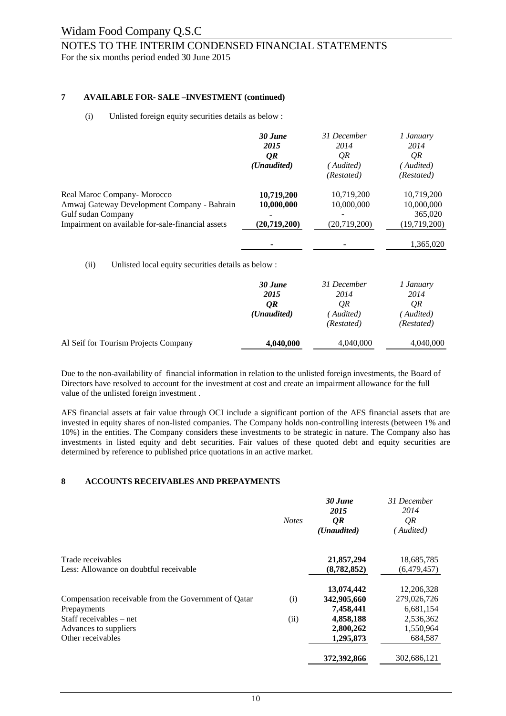# NOTES TO THE INTERIM CONDENSED FINANCIAL STATEMENTS

For the six months period ended 30 June 2015

#### **7 AVAILABLE FOR- SALE –INVESTMENT (continued)**

#### (i) Unlisted foreign equity securities details as below :

|                                                                             | 30 June<br>2015<br>QR<br>( <i>Unaudited</i> ) | 31 December<br>2014<br>QR<br>Audited)<br>(Restated) | 1 January<br>2014<br>QR<br>Audited)<br>(Restated) |
|-----------------------------------------------------------------------------|-----------------------------------------------|-----------------------------------------------------|---------------------------------------------------|
| Real Maroc Company - Morocco<br>Amwaj Gateway Development Company - Bahrain | 10,719,200<br>10,000,000                      | 10.719.200<br>10,000,000                            | 10.719.200<br>10,000,000                          |
| Gulf sudan Company                                                          | ۰                                             |                                                     | 365,020                                           |
| Impairment on available for-sale-financial assets                           | (20, 719, 200)                                | (20,719,200)                                        | (19,719,200)                                      |
|                                                                             |                                               |                                                     | 1,365,020                                         |
|                                                                             |                                               |                                                     |                                                   |

(ii) Unlisted local equity securities details as below :

|                                      | 30 June              | 31 December | 1 January  |
|--------------------------------------|----------------------|-------------|------------|
|                                      | 2015                 | 2014        | 2014       |
|                                      | QR                   | QR          | QR         |
|                                      | ( <i>Unaudited</i> ) | Audited)    | Audited)   |
|                                      |                      | (Restated)  | (Restated) |
| Al Seif for Tourism Projects Company | 4,040,000            | 4,040,000   | 4,040,000  |

Due to the non-availability of financial information in relation to the unlisted foreign investments, the Board of Directors have resolved to account for the investment at cost and create an impairment allowance for the full value of the unlisted foreign investment .

AFS financial assets at fair value through OCI include a significant portion of the AFS financial assets that are invested in equity shares of non-listed companies. The Company holds non-controlling interests (between 1% and 10%) in the entities. The Company considers these investments to be strategic in nature. The Company also has investments in listed equity and debt securities. Fair values of these quoted debt and equity securities are determined by reference to published price quotations in an active market.

#### **8 ACCOUNTS RECEIVABLES AND PREPAYMENTS**

|                                                      | <b>Notes</b> | 30 June<br>2015<br><i>OR</i> | 31 December<br>2014<br>QR |
|------------------------------------------------------|--------------|------------------------------|---------------------------|
|                                                      |              | ( <i>Unaudited</i> )         | Audited)                  |
| Trade receivables                                    |              | 21,857,294                   | 18,685,785                |
| Less: Allowance on doubtful receivable               |              | (8, 782, 852)                | (6,479,457)               |
|                                                      |              | 13,074,442                   | 12,206,328                |
| Compensation receivable from the Government of Oatar | (i)          | 342,905,660                  | 279,026,726               |
| Prepayments                                          |              | 7,458,441                    | 6,681,154                 |
| Staff receivables – net                              | (ii)         | 4,858,188                    | 2,536,362                 |
| Advances to suppliers                                |              | 2,800,262                    | 1,550,964                 |
| Other receivables                                    |              | 1,295,873                    | 684,587                   |
|                                                      |              | 372,392,866                  | 302.686.121               |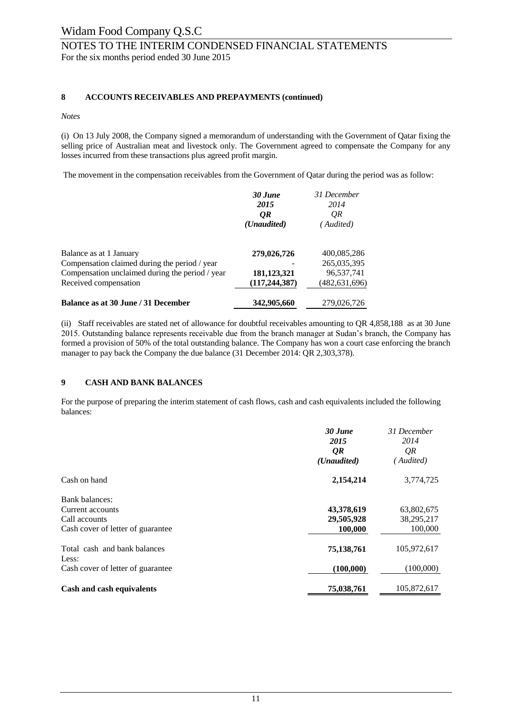## Widam Food Company Q.S.C NOTES TO THE INTERIM CONDENSED FINANCIAL STATEMENTS For the six months period ended 30 June 2015

#### **8 ACCOUNTS RECEIVABLES AND PREPAYMENTS (continued)**

#### *Notes*

(i) On 13 July 2008, the Company signed a memorandum of understanding with the Government of Qatar fixing the selling price of Australian meat and livestock only. The Government agreed to compensate the Company for any losses incurred from these transactions plus agreed profit margin.

The movement in the compensation receivables from the Government of Qatar during the period was as follow:

|                                                                                                                 | 30 June<br>2015<br>0R<br>(Unaudited)          | 31 December<br>2014<br>OR<br>(Audited)       |
|-----------------------------------------------------------------------------------------------------------------|-----------------------------------------------|----------------------------------------------|
| Balance as at 1 January<br>Compensation claimed during the period / year                                        | 279,026,726                                   | 400,085,286<br>265,035,395                   |
| Compensation unclaimed during the period / year<br>Received compensation<br>Balance as at 30 June / 31 December | 181,123,321<br>(117, 244, 387)<br>342,905,660 | 96,537,741<br>(482, 631, 696)<br>279,026,726 |

(ii) Staff receivables are stated net of allowance for doubtful receivables amounting to QR 4,858,188 as at 30 June 2015. Outstanding balance represents receivable due from the branch manager at Sudan's branch, the Company has formed a provision of 50% of the total outstanding balance. The Company has won a court case enforcing the branch manager to pay back the Company the due balance (31 December 2014: QR 2,303,378).

#### **9 CASH AND BANK BALANCES**

For the purpose of preparing the interim statement of cash flows, cash and cash equivalents included the following balances:

|                                       | $30$ June<br>2015<br>QR<br>( <i>Unaudited</i> ) | 31 December<br>2014<br>QR<br>'Audited) |
|---------------------------------------|-------------------------------------------------|----------------------------------------|
| Cash on hand                          | 2,154,214                                       | 3,774,725                              |
| Bank balances:                        |                                                 |                                        |
| Current accounts                      | 43,378,619                                      | 63,802,675                             |
| Call accounts                         | 29,505,928                                      | 38,295,217                             |
| Cash cover of letter of guarantee     | 100.000                                         | 100,000                                |
| Total cash and bank balances<br>Less: | 75,138,761                                      | 105,972,617                            |
| Cash cover of letter of guarantee     | (100,000)                                       | (100,000)                              |
| Cash and cash equivalents             | 75,038,761                                      | 105,872,617                            |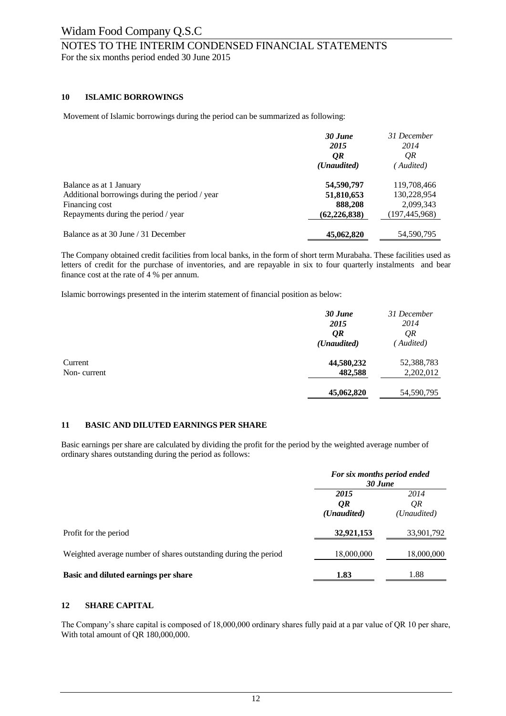## NOTES TO THE INTERIM CONDENSED FINANCIAL STATEMENTS

For the six months period ended 30 June 2015

#### **10 ISLAMIC BORROWINGS**

Movement of Islamic borrowings during the period can be summarized as following:

|                                                | 30 June<br>2015<br>QR | 31 December<br>2014<br>QR |
|------------------------------------------------|-----------------------|---------------------------|
|                                                | ( <i>Unaudited</i> )  | ' Audited)                |
| Balance as at 1 January                        | 54,590,797            | 119,708,466               |
| Additional borrowings during the period / year | 51,810,653            | 130,228,954               |
| Financing cost                                 | 888,208               | 2,099,343                 |
| Repayments during the period / year            | (62, 226, 838)        | (197, 445, 968)           |
| Balance as at 30 June / 31 December            | 45,062,820            | 54,590,795                |

The Company obtained credit facilities from local banks, in the form of short term Murabaha. These facilities used as letters of credit for the purchase of inventories, and are repayable in six to four quarterly instalments and bear finance cost at the rate of 4 % per annum.

Islamic borrowings presented in the interim statement of financial position as below:

|             | 30 June              | 31 December |
|-------------|----------------------|-------------|
|             | 2015                 | 2014        |
|             | QR                   | QR          |
|             | ( <i>Unaudited</i> ) | (Audited)   |
| Current     | 44,580,232           | 52,388,783  |
| Non-current | 482,588              | 2,202,012   |
|             | 45,062,820           | 54,590,795  |

#### **11 BASIC AND DILUTED EARNINGS PER SHARE**

Basic earnings per share are calculated by dividing the profit for the period by the weighted average number of ordinary shares outstanding during the period as follows:

|                                                                 | For six months period ended<br>30 June |                           |  |
|-----------------------------------------------------------------|----------------------------------------|---------------------------|--|
|                                                                 | 2015<br>QR<br>( <i>Unaudited</i> )     | 2014<br>QR<br>(Unaudited) |  |
| Profit for the period                                           | 32,921,153                             | 33,901,792                |  |
| Weighted average number of shares outstanding during the period | 18,000,000                             | 18,000,000                |  |
| Basic and diluted earnings per share                            | 1.83                                   | 1.88                      |  |

#### **12 SHARE CAPITAL**

The Company's share capital is composed of 18,000,000 ordinary shares fully paid at a par value of QR 10 per share, With total amount of QR 180,000,000.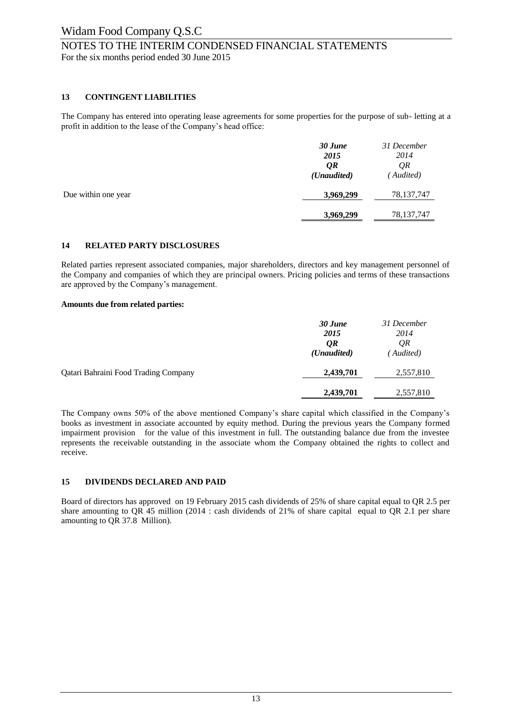# NOTES TO THE INTERIM CONDENSED FINANCIAL STATEMENTS

For the six months period ended 30 June 2015

#### **13 CONTINGENT LIABILITIES**

The Company has entered into operating lease agreements for some properties for the purpose of sub- letting at a profit in addition to the lease of the Company's head office:

|                     | 30 June<br>2015<br>QR<br>( <i>Unaudited</i> ) | 31 December<br>2014<br>QR<br>(Audited) |
|---------------------|-----------------------------------------------|----------------------------------------|
| Due within one year | 3,969,299                                     | 78, 137, 747                           |
|                     | 3,969,299                                     | 78,137,747                             |

#### **14 RELATED PARTY DISCLOSURES**

Related parties represent associated companies, major shareholders, directors and key management personnel of the Company and companies of which they are principal owners. Pricing policies and terms of these transactions are approved by the Company's management.

#### **Amounts due from related parties:**

|                                      | 30 June<br>2015<br>QR             | 31 December<br>2014<br>QR |
|--------------------------------------|-----------------------------------|---------------------------|
| Qatari Bahraini Food Trading Company | ( <i>Unaudited</i> )<br>2,439,701 | (Audited)<br>2,557,810    |
|                                      | 2,439,701                         | 2,557,810                 |

The Company owns 50% of the above mentioned Company's share capital which classified in the Company's books as investment in associate accounted by equity method. During the previous years the Company formed impairment provision for the value of this investment in full. The outstanding balance due from the investee represents the receivable outstanding in the associate whom the Company obtained the rights to collect and receive.

#### **15 DIVIDENDS DECLARED AND PAID**

Board of directors has approved on 19 February 2015 cash dividends of 25% of share capital equal to QR 2.5 per share amounting to QR 45 million (2014 : cash dividends of 21% of share capital equal to QR 2.1 per share amounting to QR 37.8 Million).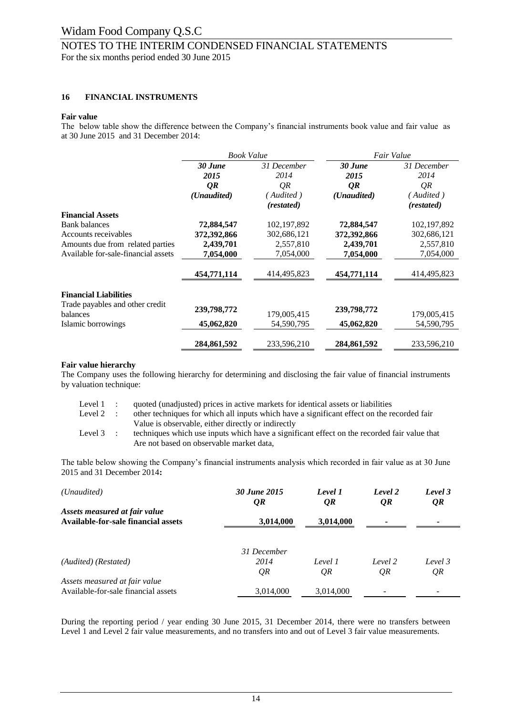# NOTES TO THE INTERIM CONDENSED FINANCIAL STATEMENTS

For the six months period ended 30 June 2015

#### **16 FINANCIAL INSTRUMENTS**

#### **Fair value**

The below table show the difference between the Company's financial instruments book value and fair value as at 30 June 2015 and 31 December 2014:

|                                             | <b>Book Value</b> |               | Fair Value           |               |
|---------------------------------------------|-------------------|---------------|----------------------|---------------|
|                                             | 30 June           | 31 December   | 30 June              | 31 December   |
|                                             | 2015              | 2014          | 2015                 | 2014          |
|                                             | QR                | QR            | QR                   | QR            |
|                                             | (Unaudited)       | (Audited)     | ( <i>Unaudited</i> ) | Audited)      |
|                                             |                   | (restated)    |                      | (restated)    |
| <b>Financial Assets</b>                     |                   |               |                      |               |
| <b>Bank balances</b>                        | 72,884,547        | 102, 197, 892 | 72,884,547           | 102, 197, 892 |
| Accounts receivables                        | 372,392,866       | 302,686,121   | 372,392,866          | 302,686,121   |
| Amounts due from related parties            | 2,439,701         | 2,557,810     | 2,439,701            | 2,557,810     |
| Available for-sale-financial assets         | 7,054,000         | 7,054,000     | 7,054,000            | 7,054,000     |
|                                             | 454,771,114       | 414,495,823   | 454,771,114          | 414,495,823   |
| <b>Financial Liabilities</b>                |                   |               |                      |               |
| Trade payables and other credit<br>balances | 239,798,772       | 179,005,415   | 239,798,772          | 179,005,415   |
| Islamic borrowings                          | 45,062,820        | 54,590,795    | 45,062,820           | 54,590,795    |
|                                             |                   |               |                      |               |
|                                             | 284,861,592       | 233,596,210   | 284,861,592          | 233,596,210   |

#### **Fair value hierarchy**

The Company uses the following hierarchy for determining and disclosing the fair value of financial instruments by valuation technique:

| Level 1 : | quoted (unadjusted) prices in active markets for identical assets or liabilities            |
|-----------|---------------------------------------------------------------------------------------------|
| Level 2 : | other techniques for which all inputs which have a significant effect on the recorded fair  |
|           | Value is observable, either directly or indirectly                                          |
| Level 3 : | techniques which use inputs which have a significant effect on the recorded fair value that |
|           | Are not based on observable market data,                                                    |

The table below showing the Company's financial instruments analysis which recorded in fair value as at 30 June 2015 and 31 December 2014**:**

| (Unaudited)                                                                 | 30 June 2015<br>QR | Level 1<br>QR | Level 2<br>QR | Level 3<br>QR |  |
|-----------------------------------------------------------------------------|--------------------|---------------|---------------|---------------|--|
| Assets measured at fair value<br><b>Available-for-sale financial assets</b> | 3,014,000          | 3,014,000     |               | ۰             |  |
|                                                                             |                    |               |               |               |  |
|                                                                             | 31 December        |               |               |               |  |
| (Audited) (Restated)                                                        | 2014               | Level 1       | Level 2       | Level 3       |  |
|                                                                             | QR                 | QR            | QR            | QR            |  |
| Assets measured at fair value                                               |                    |               |               |               |  |
| Available-for-sale financial assets                                         | 3,014,000          | 3,014,000     |               |               |  |

During the reporting period / year ending 30 June 2015, 31 December 2014, there were no transfers between Level 1 and Level 2 fair value measurements, and no transfers into and out of Level 3 fair value measurements.